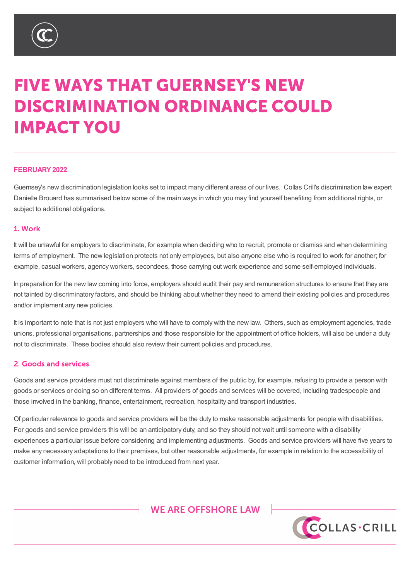

# **FIVE WAYS THAT GUERNSEY'S NEW DISCRIMINATION ORDINANCE COULD IMPACT YOU**

## **FEBRUARY2022**

Guernsey's new discrimination legislation looks set to impact many different areas of our lives. Collas Crill's discrimination law expert Danielle Brouard has summarised below some of the main ways in which you may find yourself benefiting from additional rights, or subject to additional obligations.

## 1. Work

It will be unlawful for employers to discriminate, for example when deciding who to recruit, promote or dismiss and when determining terms of employment. The new legislation protects not only employees, but also anyone else who is required to work for another; for example, casual workers, agency workers, secondees, those carrying out work experience and some self-employed individuals.

In preparation for the new law coming into force, employers should audit their pay and remuneration structures to ensure that they are not tainted by discriminatory factors, and should be thinking about whether they need to amend their existing policies and procedures and/or implement any new policies.

It is important to note that is not just employers who will have to comply with the new law. Others, such as employment agencies, trade unions, professional organisations, partnerships and those responsible for the appointment of office holders, will also be under a duty not to discriminate. These bodies should also review their current policies and procedures.

## 2. Goods and services

Goods and service providers must not discriminate against members of the public by, for example, refusing to provide a person with goods or services or doing so on different terms. All providers of goods and services will be covered, including tradespeople and those involved in the banking, finance, entertainment, recreation, hospitality and transport industries.

Of particular relevance to goods and service providers will be the duty to make reasonable adjustments for people with disabilities. For goods and service providers this will be an anticipatory duty, and so they should not wait until someone with a disability experiences a particular issue before considering and implementing adjustments. Goods and service providers will have five years to make any necessary adaptations to their premises, but other reasonable adjustments, for example in relation to the accessibility of customer information, will probably need to be introduced from next year.

# **WE ARE OFFSHORE LAW**



%9,\_&D\PDQ\_\*XHUQVH\\_-HUVH\\_/RQGRQ

7KLV QRWH LV D VXPPDU\RI WKH VXEMHFW DQG LV SURYLGHG IRU LQIRUPDWLRQ RQO\,W GRHV QRW SXUSR EH VRXJKW :KLOVW HYHU\FDUH KDV EHHQ WDNHQ LQ SURGXFLQJ WKLV QRWH QHLWKHU WKH DXWKRU QRU & PDWWHUVVHWRXWLQLW\$OOFRS\ULJKWLQWKLVPDWHULDOEHORQJVWR&ROODV&ULOO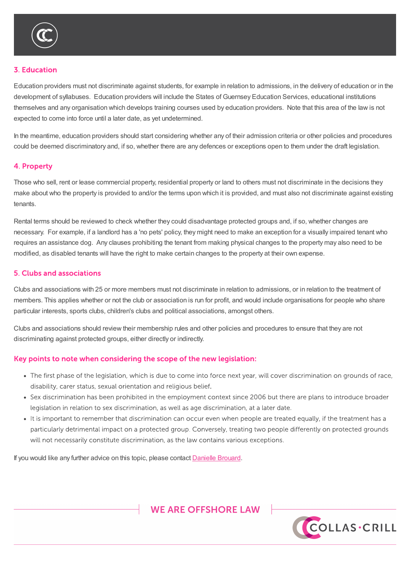

#### **3. Education**

Education providers must not discriminate against students, for example in relation to admissions, in the delivery of education or in the development of syllabuses. Education providers will include the States of Guernsey Education Services, educational institutions themselves and any organisation which develops training courses used by education providers. Note that this area of the law is not expected to come into force until a later date, as yet undetermined.

In the meantime, education providers should start considering whether any of their admission criteria or other policies and procedures could be deemed discriminatory and, if so, whether there are any defences or exceptions open to them under the draft legislation.

#### 4. Property

Those who sell, rent or lease commercial property, residential property or land to others must not discriminate in the decisions they make about who the property is provided to and/or the terms upon which it is provided, and must also not discriminate against existing tenants.

Rental terms should be reviewed to check whether they could disadvantage protected groups and, if so, whether changes are necessary. For example, if a landlord has a 'no pets' policy, they might need to make an exception for a visually impaired tenant who requires an assistance dog. Any clauses prohibiting the tenant from making physical changes to the property may also need to be modified, as disabled tenants will have the right to make certain changes to the property at their own expense.

#### 5. Clubs and associations

Clubs and associations with 25 or more members must not discriminate in relation to admissions, or in relation to the treatment of members. This applies whether or not the club or association is run for profit, and would include organisations for people who share particular interests, sports clubs, children's clubs and political associations, amongst others.

Clubs and associations should review their membership rules and other policies and procedures to ensure that they are not discriminating against protected groups, either directly or indirectly.

## Key points to note when considering the scope of the new legislation:

customer information, will probably need to be introduced from next year.

- The first phase of the legislation, which is due to come into force next year, will cover discrimination on grounds of race, disability, carer status, sexual orientation and religious belief.
- Sex discrimination has been prohibited in the employment context since 2006 but there are plans to introduce broader legislation in relation to sex discrimination, as well as age discrimination, at a later date.
- It is important to remember that discrimination can occur even when people are treated equally, if the treatment has a particularly detrimental impact on a protected group. Conversely, treating two people differently on protected grounds will not necessarily constitute discrimination, as the law contains various exceptions.

If you would like any further advice on this topic, please contact Danielle Brouard.

# **WE ARE OFFSHORE LAW**



%9,\_&D\PDQ\_\*XHUQVH\\_-HUVH\\_/RQGRQ

TKLV QRWH LV D VXPPDU\RI WKH VXEMHFW DQG LV SURYLGHG IRU LQIRUPDWLRQ RQO\, WGRHV QRW SXUSR EH VRXJKW:KLOVWHYHU\FDUH KDVEHHQWDNHQLQSURGXFLQJWKLVQRWHQHLWKHUWKHDXWKRUQRU& PDWWHUV VHW RXW LQ LW \$OO FRS\ULJKW LQ WKLV PDWHULDO EHORQJV WR &ROODV &ULOO